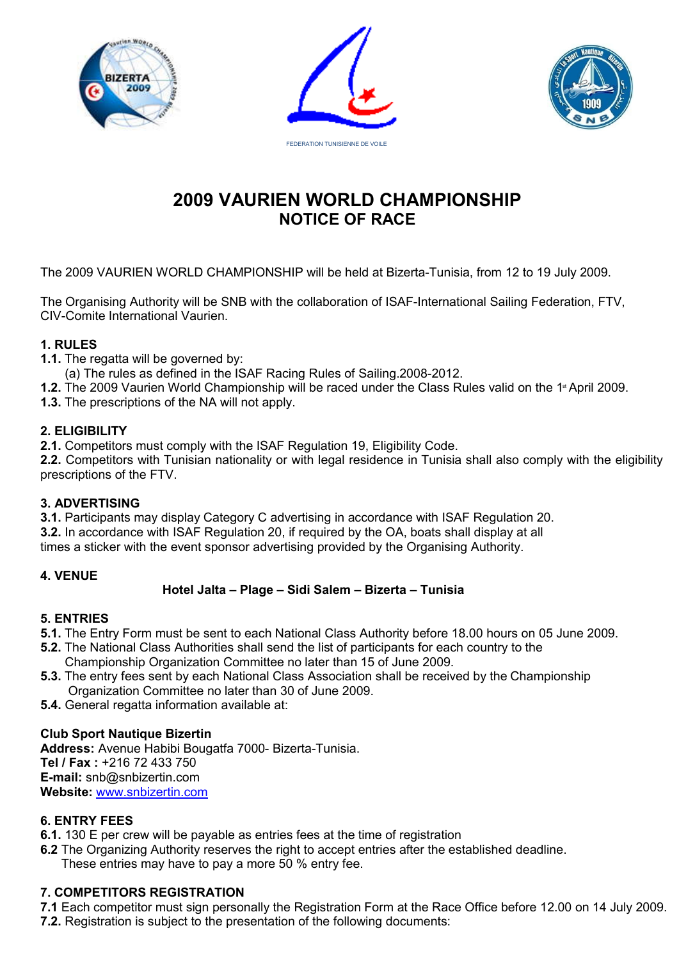





# **2009 VAURIEN WORLD CHAMPIONSHIP NOTICE OF RACE**

The 2009 VAURIEN WORLD CHAMPIONSHIP will be held at Bizerta-Tunisia, from 12 to 19 July 2009.

The Organising Authority will be SNB with the collaboration of ISAF-International Sailing Federation, FTV, CIV-Comite International Vaurien.

# **1. RULES**

**1.1.** The regatta will be governed by:

(a) The rules as defined in the ISAF Racing Rules of Sailing.2008-2012.

**1.2.** The 2009 Vaurien World Championship will be raced under the Class Rules valid on the 1<sup>st</sup> April 2009.

**1.3.** The prescriptions of the NA will not apply.

## **2. ELIGIBILITY**

**2.1.** Competitors must comply with the ISAF Regulation 19, Eligibility Code.

2.2. Competitors with Tunisian nationality or with legal residence in Tunisia shall also comply with the eligibility prescriptions of the FTV.

# **3. ADVERTISING**

**3.1.** Participants may display Category C advertising in accordance with ISAF Regulation 20. **3.2.** In accordance with ISAF Regulation 20, if required by the OA, boats shall display at all times a sticker with the event sponsor advertising provided by the Organising Authority.

# **4. VENUE**

# **Hotel Jalta – Plage – Sidi Salem – Bizerta – Tunisia**

# **5. ENTRIES**

- **5.1.** The Entry Form must be sent to each National Class Authority before 18.00 hours on 05 June 2009.
- **5.2.** The National Class Authorities shall send the list of participants for each country to the
- Championship Organization Committee no later than 15 of June 2009.
- **5.3.** The entry fees sent by each National Class Association shall be received by the Championship Organization Committee no later than 30 of June 2009.
- **5.4.** General regatta information available at:

# **Club Sport Nautique Bizertin**

**Address:** Avenue Habibi Bougatfa 7000- Bizerta-Tunisia. **Tel / Fax :** +216 72 433 750 **E-mail:** snb@snbizertin.com **Website:** [www.snbizertin.com](http://www.snbizertin.com)

# **6. ENTRY FEES**

- **6.1.** 130 E per crew will be payable as entries fees at the time of registration
- **6.2** The Organizing Authority reserves the right to accept entries after the established deadline. These entries may have to pay a more 50 % entry fee.

# **7. COMPETITORS REGISTRATION**

**7.1** Each competitor must sign personally the Registration Form at the Race Office before 12.00 on 14 July 2009.

**7.2.** Registration is subject to the presentation of the following documents: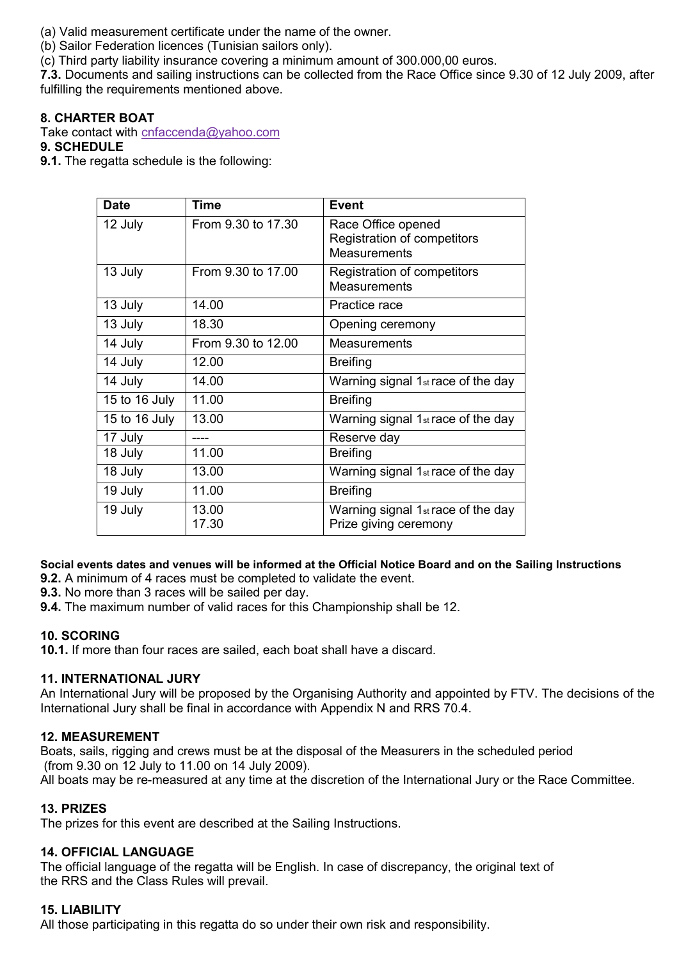(a) Valid measurement certificate under the name of the owner.

(b) Sailor Federation licences (Tunisian sailors only).

(c) Third party liability insurance covering a minimum amount of 300.000,00 euros.

**7.3.** Documents and sailing instructions can be collected from the Race Office since 9.30 of 12 July 2009, after fulfilling the requirements mentioned above.

## **8. CHARTER BOAT**

Take contact with cnfaccenda@yahoo.com

## **9. SCHEDULE**

**9.1.** The regatta schedule is the following:

| <b>Date</b>   | <b>Time</b>        | <b>Event</b>                                                             |
|---------------|--------------------|--------------------------------------------------------------------------|
| 12 July       | From 9.30 to 17.30 | Race Office opened<br>Registration of competitors<br><b>Measurements</b> |
| 13 July       | From 9.30 to 17.00 | Registration of competitors<br><b>Measurements</b>                       |
| 13 July       | 14.00              | Practice race                                                            |
| 13 July       | 18.30              | Opening ceremony                                                         |
| 14 July       | From 9.30 to 12.00 | <b>Measurements</b>                                                      |
| 14 July       | 12.00              | <b>Breifing</b>                                                          |
| 14 July       | 14.00              | Warning signal 1 <sub>st</sub> race of the day                           |
| 15 to 16 July | 11.00              | <b>Breifing</b>                                                          |
| 15 to 16 July | 13.00              | Warning signal 1 <sub>st</sub> race of the day                           |
| 17 July       |                    | Reserve day                                                              |
| 18 July       | 11.00              | <b>Breifing</b>                                                          |
| 18 July       | 13.00              | Warning signal 1 <sub>st</sub> race of the day                           |
| 19 July       | 11.00              | <b>Breifing</b>                                                          |
| 19 July       | 13.00<br>17.30     | Warning signal 1 <sub>st</sub> race of the day<br>Prize giving ceremony  |

# **Social events dates and venues will be informed at the Official Notice Board and on the Sailing Instructions**

**9.2.** A minimum of 4 races must be completed to validate the event.

**9.3.** No more than 3 races will be sailed per day.

**9.4.** The maximum number of valid races for this Championship shall be 12.

## **10. SCORING**

**10.1.** If more than four races are sailed, each boat shall have a discard.

## **11. INTERNATIONAL JURY**

An International Jury will be proposed by the Organising Authority and appointed by FTV. The decisions of the International Jury shall be final in accordance with Appendix N and RRS 70.4.

## **12. MEASUREMENT**

Boats, sails, rigging and crews must be at the disposal of the Measurers in the scheduled period (from 9.30 on 12 July to 11.00 on 14 July 2009).

All boats may be re-measured at any time at the discretion of the International Jury or the Race Committee.

## **13. PRIZES**

The prizes for this event are described at the Sailing Instructions.

## **14. OFFICIAL LANGUAGE**

The official language of the regatta will be English. In case of discrepancy, the original text of the RRS and the Class Rules will prevail.

## **15. LIABILITY**

All those participating in this regatta do so under their own risk and responsibility.